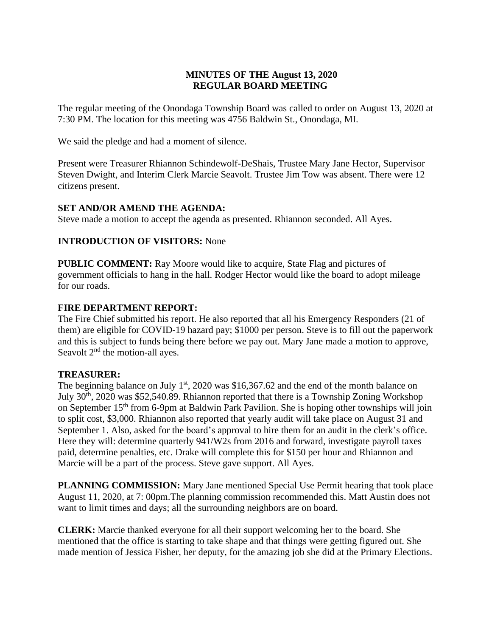# **MINUTES OF THE August 13, 2020 REGULAR BOARD MEETING**

The regular meeting of the Onondaga Township Board was called to order on August 13, 2020 at 7:30 PM. The location for this meeting was 4756 Baldwin St., Onondaga, MI.

We said the pledge and had a moment of silence.

Present were Treasurer Rhiannon Schindewolf-DeShais, Trustee Mary Jane Hector, Supervisor Steven Dwight, and Interim Clerk Marcie Seavolt. Trustee Jim Tow was absent. There were 12 citizens present.

# **SET AND/OR AMEND THE AGENDA:**

Steve made a motion to accept the agenda as presented. Rhiannon seconded. All Ayes.

### **INTRODUCTION OF VISITORS:** None

**PUBLIC COMMENT:** Ray Moore would like to acquire, State Flag and pictures of government officials to hang in the hall. Rodger Hector would like the board to adopt mileage for our roads.

### **FIRE DEPARTMENT REPORT:**

The Fire Chief submitted his report. He also reported that all his Emergency Responders (21 of them) are eligible for COVID-19 hazard pay; \$1000 per person. Steve is to fill out the paperwork and this is subject to funds being there before we pay out. Mary Jane made a motion to approve, Seavolt  $2<sup>nd</sup>$  the motion-all ayes.

### **TREASURER:**

The beginning balance on July  $1<sup>st</sup>$ , 2020 was \$16,367.62 and the end of the month balance on July 30th, 2020 was \$52,540.89. Rhiannon reported that there is a Township Zoning Workshop on September 15<sup>th</sup> from 6-9pm at Baldwin Park Pavilion. She is hoping other townships will join to split cost, \$3,000. Rhiannon also reported that yearly audit will take place on August 31 and September 1. Also, asked for the board's approval to hire them for an audit in the clerk's office. Here they will: determine quarterly 941/W2s from 2016 and forward, investigate payroll taxes paid, determine penalties, etc. Drake will complete this for \$150 per hour and Rhiannon and Marcie will be a part of the process. Steve gave support. All Ayes.

**PLANNING COMMISSION:** Mary Jane mentioned Special Use Permit hearing that took place August 11, 2020, at 7: 00pm.The planning commission recommended this. Matt Austin does not want to limit times and days; all the surrounding neighbors are on board.

**CLERK:** Marcie thanked everyone for all their support welcoming her to the board. She mentioned that the office is starting to take shape and that things were getting figured out. She made mention of Jessica Fisher, her deputy, for the amazing job she did at the Primary Elections.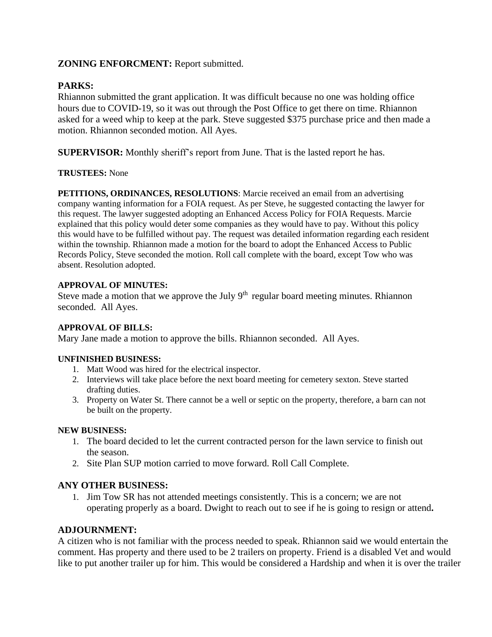### **ZONING ENFORCMENT:** Report submitted.

# **PARKS:**

Rhiannon submitted the grant application. It was difficult because no one was holding office hours due to COVID-19, so it was out through the Post Office to get there on time. Rhiannon asked for a weed whip to keep at the park. Steve suggested \$375 purchase price and then made a motion. Rhiannon seconded motion. All Ayes.

**SUPERVISOR:** Monthly sheriff's report from June. That is the lasted report he has.

### **TRUSTEES:** None

**PETITIONS, ORDINANCES, RESOLUTIONS**: Marcie received an email from an advertising company wanting information for a FOIA request. As per Steve, he suggested contacting the lawyer for this request. The lawyer suggested adopting an Enhanced Access Policy for FOIA Requests. Marcie explained that this policy would deter some companies as they would have to pay. Without this policy this would have to be fulfilled without pay. The request was detailed information regarding each resident within the township. Rhiannon made a motion for the board to adopt the Enhanced Access to Public Records Policy, Steve seconded the motion. Roll call complete with the board, except Tow who was absent. Resolution adopted.

### **APPROVAL OF MINUTES:**

Steve made a motion that we approve the July  $9<sup>th</sup>$  regular board meeting minutes. Rhiannon seconded. All Ayes.

### **APPROVAL OF BILLS:**

Mary Jane made a motion to approve the bills. Rhiannon seconded. All Ayes.

### **UNFINISHED BUSINESS:**

- 1. Matt Wood was hired for the electrical inspector.
- 2. Interviews will take place before the next board meeting for cemetery sexton. Steve started drafting duties.
- 3. Property on Water St. There cannot be a well or septic on the property, therefore, a barn can not be built on the property.

#### **NEW BUSINESS:**

- 1. The board decided to let the current contracted person for the lawn service to finish out the season.
- 2. Site Plan SUP motion carried to move forward. Roll Call Complete.

### **ANY OTHER BUSINESS:**

1. Jim Tow SR has not attended meetings consistently. This is a concern; we are not operating properly as a board. Dwight to reach out to see if he is going to resign or attend**.**

### **ADJOURNMENT:**

A citizen who is not familiar with the process needed to speak. Rhiannon said we would entertain the comment. Has property and there used to be 2 trailers on property. Friend is a disabled Vet and would like to put another trailer up for him. This would be considered a Hardship and when it is over the trailer